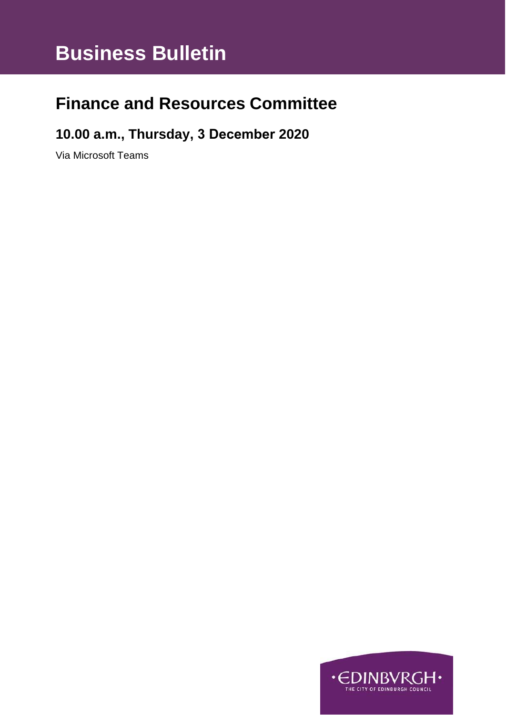# **Business Bulletin**

## **Finance and Resources Committee**

### **10.00 a.m., Thursday, 3 December 2020**

Via Microsoft Teams

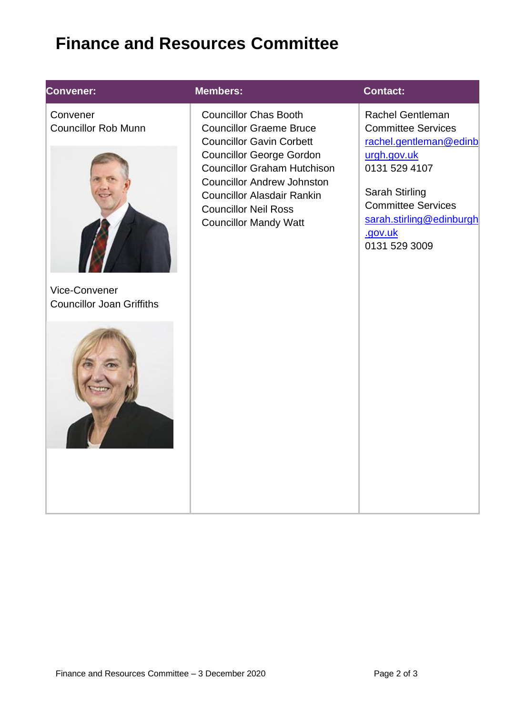## **Finance and Resources Committee**

#### **Convener:**

**Convener:** Convener Councillor Rob Munn



Vice-Convener Councillor Joan Griffiths



#### **Members: Contact:**

Councillor Chas Booth Councillor Graeme Bruce Councillor Gavin Corbett Councillor George Gordon Councillor Graham Hutchison Councillor Andrew Johnston Councillor Alasdair Rankin Councillor Neil Ross Councillor Mandy Watt

[Rachel](mailto:Blair.Ritchie@edinburgh.gov.uk) Gentleman Committee Services [rachel.gentleman@edinb](mailto:rachel.gentleman@edinburgh.gov.uk) [urgh.gov.uk](mailto:rachel.gentleman@edinburgh.gov.uk) 0131 529 4107

Sarah Stirling Committee Services [sarah.stirling@edinburgh](mailto:sarah.stirling@edinburgh.gov.uk) [.gov.uk](mailto:sarah.stirling@edinburgh.gov.uk) 0131 529 3009